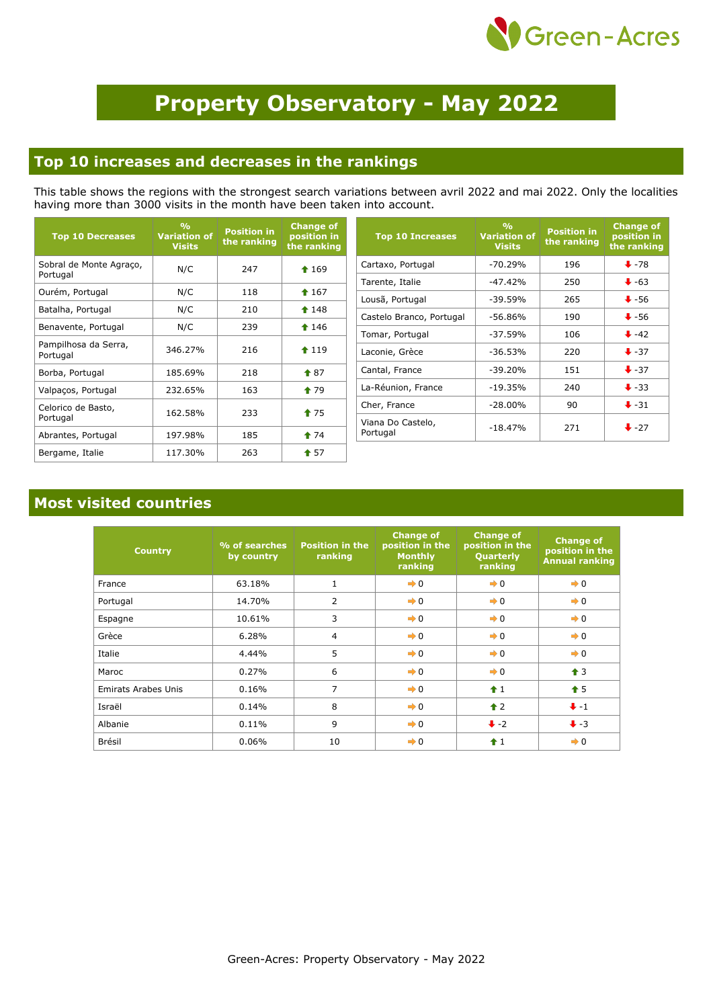

# **Property Observatory - May 2022**

#### **Top 10 increases and decreases in the rankings**

This table shows the regions with the strongest search variations between avril 2022 and mai 2022. Only the localities having more than 3000 visits in the month have been taken into account.

| <b>Top 10 Decreases</b>             | $\frac{0}{0}$<br><b>Variation of</b><br><b>Visits</b> | <b>Position in</b><br>the ranking | <b>Change of</b><br>position in<br>the ranking |
|-------------------------------------|-------------------------------------------------------|-----------------------------------|------------------------------------------------|
| Sobral de Monte Agraço,<br>Portugal | N/C                                                   | 247                               | $*169$                                         |
| Ourém, Portugal                     | N/C                                                   | 118                               | $*167$                                         |
| Batalha, Portugal                   | N/C                                                   | 210                               | $148$                                          |
| Benavente, Portugal                 | N/C                                                   | 239                               | $*146$                                         |
| Pampilhosa da Serra,<br>Portugal    | 346.27%                                               | 216                               | 119                                            |
| Borba, Portugal                     | 185.69%                                               | 218                               | $\textcolor{blue}{\bullet}87$                  |
| Valpaços, Portugal                  | 232.65%                                               | 163                               | $\textcolor{blue}{\bullet}$ 79                 |
| Celorico de Basto,<br>Portugal      | 162.58%                                               | 233                               | $\textcolor{blue}{\bullet}$ 75                 |
| Abrantes, Portugal                  | 197.98%                                               | 185                               | $\bullet$ 74                                   |
| Bergame, Italie                     | 117.30%                                               | 263                               | $\dagger$ 57                                   |

| <b>Top 10 Increases</b>       | $\sqrt{\frac{1}{2}}$<br><b>Variation of</b><br><b>Visits</b> | <b>Position in</b><br>the ranking | <b>Change of</b><br>position in<br>the ranking |
|-------------------------------|--------------------------------------------------------------|-----------------------------------|------------------------------------------------|
| Cartaxo, Portugal             | $-70.29%$                                                    | 196                               | $+78$                                          |
| Tarente, Italie               | $-47.42%$                                                    | 250                               | $\ddot{ }$ -63                                 |
| Lousã, Portugal               | $-39.59%$                                                    | 265                               | $\ddot{\bullet}$ -56                           |
| Castelo Branco, Portugal      | -56.86%                                                      | 190                               | $\ddot{\bullet}$ -56                           |
| Tomar, Portugal               | $-37.59\%$                                                   | 106                               | $+ -42$                                        |
| Laconie, Grèce                | $-36.53%$                                                    | 220                               | $+37$                                          |
| Cantal, France                | $-39.20%$                                                    | 151                               | $\ddot{\bullet}$ -37                           |
| La-Réunion, France            | $-19.35%$                                                    | 240                               | $\ddot{\bullet}$ -33                           |
| Cher, France                  | $-28.00\%$                                                   | 90                                | $\ddot{\bullet}$ -31                           |
| Viana Do Castelo,<br>Portugal | $-18.47%$                                                    | 271                               | $\ddot{\bullet}$ -27                           |

#### **Most visited countries**

| <b>Country</b>             | % of searches<br>by country | <b>Position in the</b><br>ranking | <b>Change of</b><br>position in the<br><b>Monthly</b><br>ranking | <b>Change of</b><br>position in the<br>Quarterly<br>ranking | <b>Change of</b><br>position in the<br><b>Annual ranking</b> |
|----------------------------|-----------------------------|-----------------------------------|------------------------------------------------------------------|-------------------------------------------------------------|--------------------------------------------------------------|
| France                     | 63.18%                      | $\mathbf{1}$                      | $\rightarrow 0$                                                  | $\rightarrow 0$                                             | $\rightarrow 0$                                              |
| Portugal                   | 14.70%                      | $\overline{2}$                    | $\rightarrow 0$                                                  | $\rightarrow 0$                                             | $\rightarrow 0$                                              |
| Espagne                    | 10.61%                      | 3                                 | $\rightarrow 0$                                                  | $\rightarrow 0$                                             | $\rightarrow 0$                                              |
| Grèce                      | 6.28%                       | 4                                 | $\rightarrow 0$                                                  | $\rightarrow 0$                                             | $\rightarrow 0$                                              |
| Italie                     | 4.44%                       | 5                                 | $\rightarrow 0$                                                  | $\rightarrow 0$                                             | $\rightarrow 0$                                              |
| Maroc                      | 0.27%                       | 6                                 | $\rightarrow 0$                                                  | $\rightarrow 0$                                             | $\triangleq$ 3                                               |
| <b>Emirats Arabes Unis</b> | 0.16%                       | $\overline{7}$                    | $\rightarrow 0$                                                  | $\hat{1}$                                                   | $\hat{\mathbf{T}}$ 5                                         |
| Israël                     | 0.14%                       | 8                                 | $\rightarrow 0$                                                  | $\triangle$ 2                                               | $+ -1$                                                       |
| Albanie                    | 0.11%                       | 9                                 | $\rightarrow 0$                                                  | $\ddot{\bullet}$ -2                                         | $\ddot{\bullet}$ -3                                          |
| Brésil                     | 0.06%                       | 10                                | $\rightarrow 0$                                                  | $\hat{+}1$                                                  | $\rightarrow 0$                                              |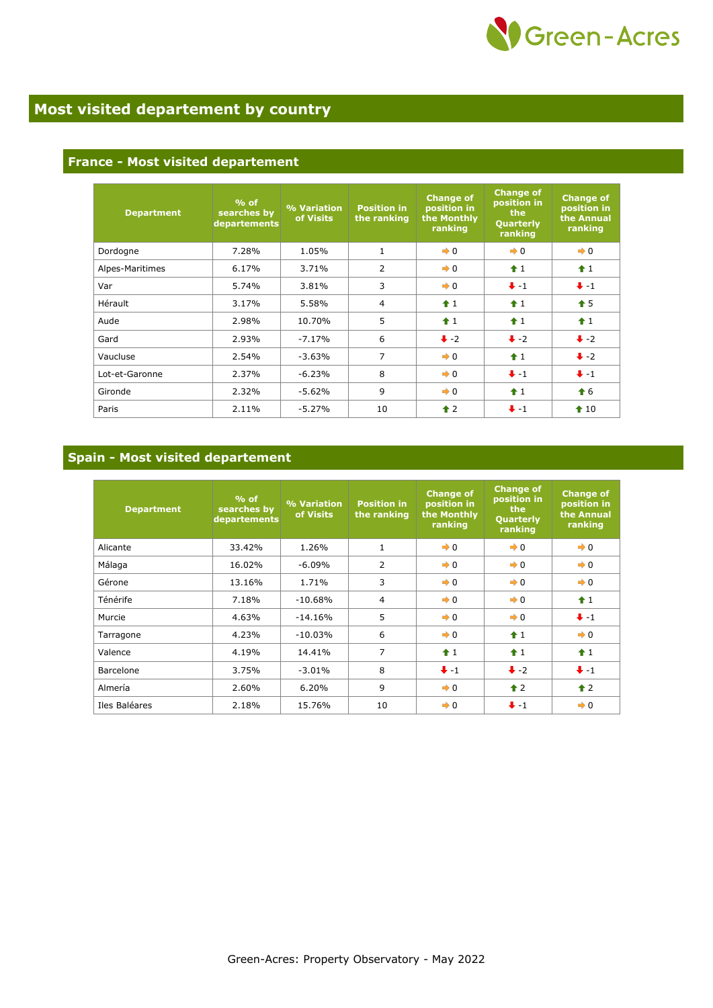

### **Most visited departement by country**

#### **France - Most visited departement**

| <b>Department</b> | $%$ of<br>searches by<br>departements | % Variation<br>of Visits | <b>Position in</b><br>the ranking | <b>Change of</b><br>position in<br>the Monthly<br>ranking | <b>Change of</b><br>position in<br>the<br>Quarterly<br>ranking | <b>Change of</b><br>position in<br>the Annual<br>ranking |
|-------------------|---------------------------------------|--------------------------|-----------------------------------|-----------------------------------------------------------|----------------------------------------------------------------|----------------------------------------------------------|
| Dordogne          | 7.28%                                 | 1.05%                    | $\mathbf{1}$                      | $\rightarrow 0$                                           | $\rightarrow 0$                                                | $\rightarrow 0$                                          |
| Alpes-Maritimes   | 6.17%                                 | 3.71%                    | $\overline{2}$                    | $\rightarrow 0$                                           | $\hat{1}$                                                      | $\hat{1}$                                                |
| Var               | 5.74%                                 | 3.81%                    | 3                                 | $\rightarrow 0$                                           | $+ -1$                                                         | $+ -1$                                                   |
| Hérault           | 3.17%                                 | 5.58%                    | $\overline{4}$                    | $+1$                                                      | $f$ 1                                                          | $\textbf{\textcolor{red}{\textbf{f}}}$ 5                 |
| Aude              | 2.98%                                 | 10.70%                   | 5                                 | $+1$                                                      | $\hat{1}$                                                      | f1                                                       |
| Gard              | 2.93%                                 | $-7.17%$                 | 6                                 | $\ddot{\bullet}$ -2                                       | $\ddot{\bullet}$ -2                                            | $\ddot{\bullet}$ -2                                      |
| Vaucluse          | 2.54%                                 | $-3.63%$                 | $\overline{7}$                    | $\rightarrow 0$                                           | $\hat{1}$                                                      | $\ddot{\bullet}$ -2                                      |
| Lot-et-Garonne    | 2.37%                                 | $-6.23%$                 | 8                                 | $\rightarrow 0$                                           | $+ -1$                                                         | $+ -1$                                                   |
| Gironde           | 2.32%                                 | $-5.62%$                 | 9                                 | $\rightarrow 0$                                           | $\hat{1}$                                                      | $\bullet$ 6                                              |
| Paris             | 2.11%                                 | $-5.27%$                 | 10                                | $\hat{\mathbf{r}}$ 2                                      | $+ -1$                                                         | $\textbf{\textcolor{red}{\bullet}} 10$                   |

#### **Spain - Most visited departement**

| <b>Department</b> | $%$ of<br>searches by<br>departements | % Variation<br>of Visits | <b>Position in</b><br>the ranking | <b>Change of</b><br>position in<br>the Monthly<br>ranking | <b>Change of</b><br>position in<br>the<br>Quarterly<br>ranking | <b>Change of</b><br>position in<br>the Annual<br>ranking |
|-------------------|---------------------------------------|--------------------------|-----------------------------------|-----------------------------------------------------------|----------------------------------------------------------------|----------------------------------------------------------|
| Alicante          | 33.42%                                | 1.26%                    | $\mathbf{1}$                      | $\rightarrow 0$                                           | $\rightarrow 0$                                                | $\rightarrow 0$                                          |
| Málaga            | 16.02%                                | $-6.09\%$                | $\overline{2}$                    | $\rightarrow 0$                                           | $\rightarrow 0$                                                | $\rightarrow 0$                                          |
| Gérone            | 13.16%                                | 1.71%                    | 3                                 | $\rightarrow 0$                                           | $\rightarrow 0$                                                | $\rightarrow 0$                                          |
| Ténérife          | 7.18%                                 | $-10.68%$                | $\overline{4}$                    | $\rightarrow 0$                                           | $\rightarrow 0$                                                | $\hat{1}$                                                |
| Murcie            | 4.63%                                 | $-14.16%$                | 5                                 | $\rightarrow 0$                                           | $\rightarrow 0$                                                | $+ -1$                                                   |
| Tarragone         | 4.23%                                 | $-10.03%$                | 6                                 | $\rightarrow 0$                                           | $+1$                                                           | $\rightarrow 0$                                          |
| Valence           | 4.19%                                 | 14.41%                   | $\overline{7}$                    | $\hat{+}1$                                                | $+1$                                                           | $\bigstar$ 1                                             |
| Barcelone         | 3.75%                                 | $-3.01%$                 | 8                                 | $+ -1$                                                    | $\ddot{\bullet}$ -2                                            | $+ -1$                                                   |
| Almería           | 2.60%                                 | 6.20%                    | 9                                 | $\rightarrow 0$                                           | $\triangle$ 2                                                  | $\hat{\mathbf{r}}$ 2                                     |
| Iles Baléares     | 2.18%                                 | 15.76%                   | 10                                | $\rightarrow 0$                                           | $+ -1$                                                         | $\rightarrow 0$                                          |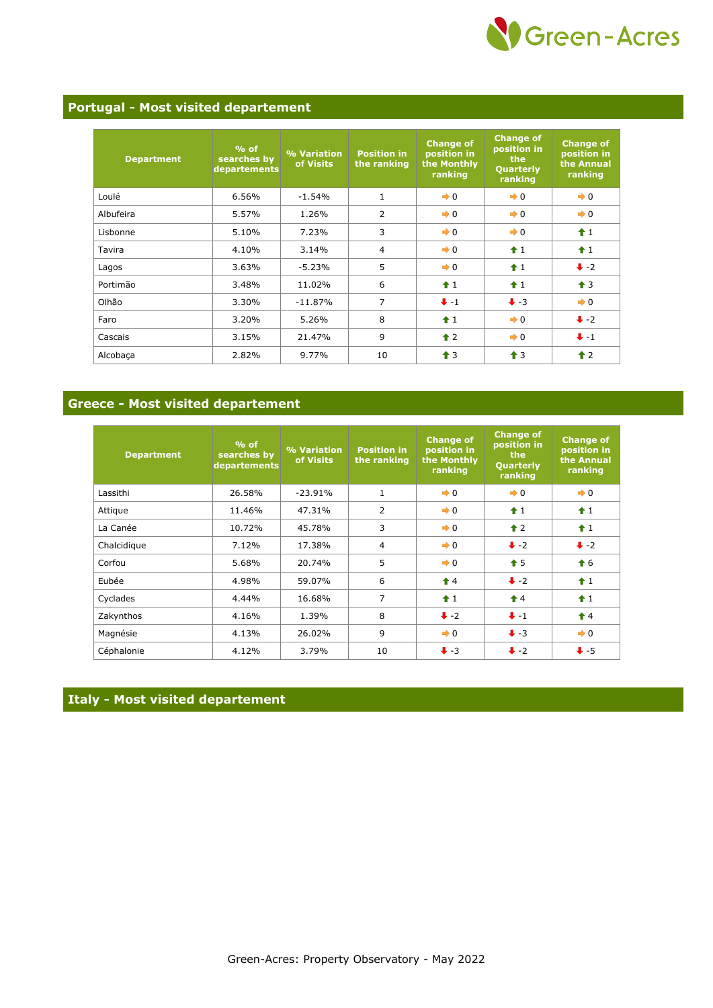

#### **Portugal - Most visited departement**

| <b>Department</b> | $%$ of<br>searches by<br>departements | % Variation<br>of Visits | <b>Position in</b><br>the ranking | <b>Change of</b><br>position in<br>the Monthly<br>ranking | <b>Change of</b><br>position in<br>the<br>Quarterly<br>ranking | <b>Change of</b><br>position in<br>the Annual<br>ranking |
|-------------------|---------------------------------------|--------------------------|-----------------------------------|-----------------------------------------------------------|----------------------------------------------------------------|----------------------------------------------------------|
| Loulé             | 6.56%                                 | $-1.54%$                 | $\mathbf{1}$                      | $\rightarrow 0$                                           | $\rightarrow 0$                                                | $\rightarrow 0$                                          |
| Albufeira         | 5.57%                                 | 1.26%                    | $\overline{2}$                    | $\rightarrow 0$                                           | $\rightarrow 0$                                                | $\rightarrow 0$                                          |
| Lisbonne          | 5.10%                                 | 7.23%                    | 3                                 | $\rightarrow 0$                                           | $\rightarrow 0$                                                | f1                                                       |
| Tavira            | 4.10%                                 | 3.14%                    | $\overline{4}$                    | $\rightarrow 0$                                           | $\hat{\mathbf{r}}$ 1                                           | $f$ 1                                                    |
| Lagos             | 3.63%                                 | $-5.23%$                 | 5                                 | $\rightarrow 0$                                           | $f$ 1                                                          | $\bullet$ -2                                             |
| Portimão          | 3.48%                                 | 11.02%                   | 6                                 | $\hat{1}$                                                 | $\hat{\mathbf{r}}$ 1                                           | $\hat{\mathbf{T}}$ 3                                     |
| Olhão             | 3.30%                                 | $-11.87%$                | $\overline{7}$                    | $+ -1$                                                    | $\ddot{\bullet}$ -3                                            | $\rightarrow 0$                                          |
| Faro              | 3.20%                                 | 5.26%                    | 8                                 | $\hat{1}$                                                 | $\rightarrow 0$                                                | $\ddot{\bullet}$ -2                                      |
| Cascais           | 3.15%                                 | 21.47%                   | 9                                 | $\triangle$ 2                                             | $\rightarrow 0$                                                | $+ -1$                                                   |
| Alcobaça          | 2.82%                                 | 9.77%                    | 10                                | $\bigstar$ 3                                              | $\bigstar$ 3                                                   | $\hat{\mathbf{r}}$ 2                                     |

#### **Greece - Most visited departement**

| <b>Department</b> | $%$ of<br>searches by<br>departements | % Variation<br>of Visits | <b>Position in</b><br>the ranking | <b>Change of</b><br>position in<br>the Monthly<br>ranking | <b>Change of</b><br>position in<br>the<br>Quarterly<br>ranking | <b>Change of</b><br>position in<br>the Annual<br>ranking |
|-------------------|---------------------------------------|--------------------------|-----------------------------------|-----------------------------------------------------------|----------------------------------------------------------------|----------------------------------------------------------|
| Lassithi          | 26.58%                                | $-23.91%$                | $\mathbf{1}$                      | $\rightarrow 0$                                           | $\rightarrow 0$                                                | $\rightarrow 0$                                          |
| Attique           | 11.46%                                |                          | 2<br>$\rightarrow 0$<br>47.31%    |                                                           | $\hat{\mathbf{r}}$ 1                                           | $f$ 1                                                    |
| La Canée          | 10.72%                                | 45.78%                   | 3                                 | $\rightarrow 0$                                           | $\uparrow$ 2                                                   | $\hat{1}$                                                |
| Chalcidique       | 7.12%                                 | 17.38%                   | $\overline{4}$                    | $\rightarrow 0$                                           | $\ddot{\bullet}$ -2                                            | $\ddot{\bullet}$ -2                                      |
| Corfou            | 5.68%                                 | 20.74%                   | 5                                 | $\rightarrow 0$                                           | $\bullet$ 5                                                    | $\bigstar$ 6                                             |
| Eubée             | 4.98%                                 | 59.07%                   | 6                                 | $\bigstar$ 4                                              | $\ddot{\bullet}$ -2                                            | $\hat{1}$                                                |
| Cyclades          | 4.44%                                 | 16.68%                   | 7                                 | $\hat{+}1$                                                | $\triangle$ 4                                                  | $f$ 1                                                    |
| Zakynthos         | 4.16%                                 | 1.39%                    | 8                                 | $\ddot{\bullet}$ -2                                       | $+ -1$                                                         | $\hat{\mathbf{T}}$ 4                                     |
| Magnésie          | 4.13%                                 | 26.02%                   | 9                                 | $\rightarrow 0$                                           | $\ddot{\bullet}$ -3                                            | $\rightarrow 0$                                          |
| Céphalonie        | 4.12%                                 | 3.79%                    | 10                                | $\ddot{\bullet}$ -3                                       | $\ddot{\bullet}$ -2                                            | $+5$                                                     |

#### **Italy - Most visited departement**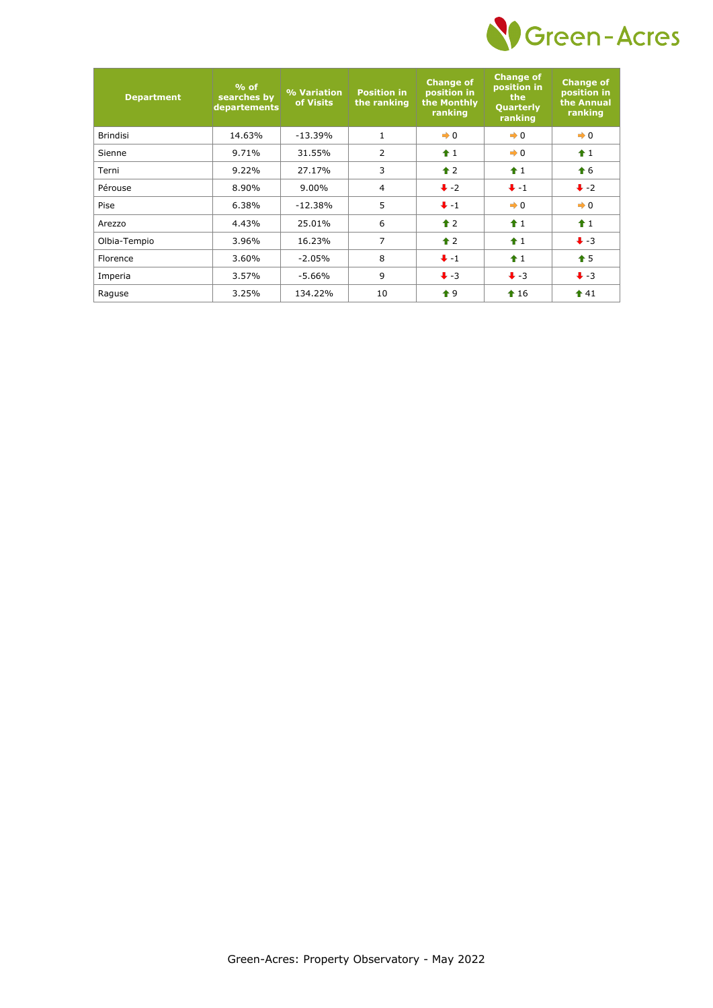

| <b>Department</b> | $%$ of<br>searches by<br>departements | % Variation<br>of Visits | <b>Position in</b><br>the ranking | <b>Change of</b><br>position in<br>the Monthly<br>ranking | <b>Change of</b><br>position in<br>the<br><b>Quarterly</b><br>ranking | <b>Change of</b><br>position in<br>the Annual<br>ranking |
|-------------------|---------------------------------------|--------------------------|-----------------------------------|-----------------------------------------------------------|-----------------------------------------------------------------------|----------------------------------------------------------|
| <b>Brindisi</b>   | 14.63%                                | $-13.39%$                | $\mathbf{1}$                      | $\rightarrow 0$                                           | $\rightarrow 0$                                                       | $\rightarrow 0$                                          |
| Sienne            | 9.71%                                 | 31.55%                   | $\overline{2}$                    | $+1$                                                      | $\rightarrow 0$                                                       | $+1$                                                     |
| Terni             | 9.22%                                 | 27.17%                   | 3                                 | $\triangle$ 2                                             | $+1$                                                                  | $\bigstar$ 6                                             |
| Pérouse           | 8.90%                                 | $9.00\%$                 | 4                                 | $\ddot{\bullet}$ -2                                       | $+ -1$                                                                | $\ddot{\bullet}$ -2                                      |
| Pise              | 6.38%                                 | $-12.38%$                | 5                                 | $+ -1$                                                    | $\rightarrow 0$                                                       | $\rightarrow 0$                                          |
| Arezzo            | 4.43%                                 | 25.01%                   | 6                                 | $\hat{\mathbf{r}}$ 2                                      | $\hat{\mathbf{r}}$ 1                                                  | $\hat{1}$                                                |
| Olbia-Tempio      | 3.96%                                 | 16.23%                   | 7                                 | $\triangle$ 2                                             | $\hat{+}1$                                                            | $\ddot{\bullet}$ -3                                      |
| Florence          | 3.60%                                 | $-2.05\%$                | 8                                 | $+ -1$                                                    | $\hat{1}$                                                             | $\hat{\mathbf{T}}$ 5                                     |
| Imperia           | 3.57%                                 | -5.66%                   | 9                                 | $\ddot{\bullet}$ -3                                       | $\ddot{\bullet}$ -3                                                   | $\ddot{\bullet}$ -3                                      |
| Raguse            | 3.25%                                 | 134.22%                  | 10                                | $\bullet$ 9                                               | $\textbf{\textcolor{blue}{\bullet}} 16$                               | $\textbf{\textcolor{red}{\bullet}}$ 41                   |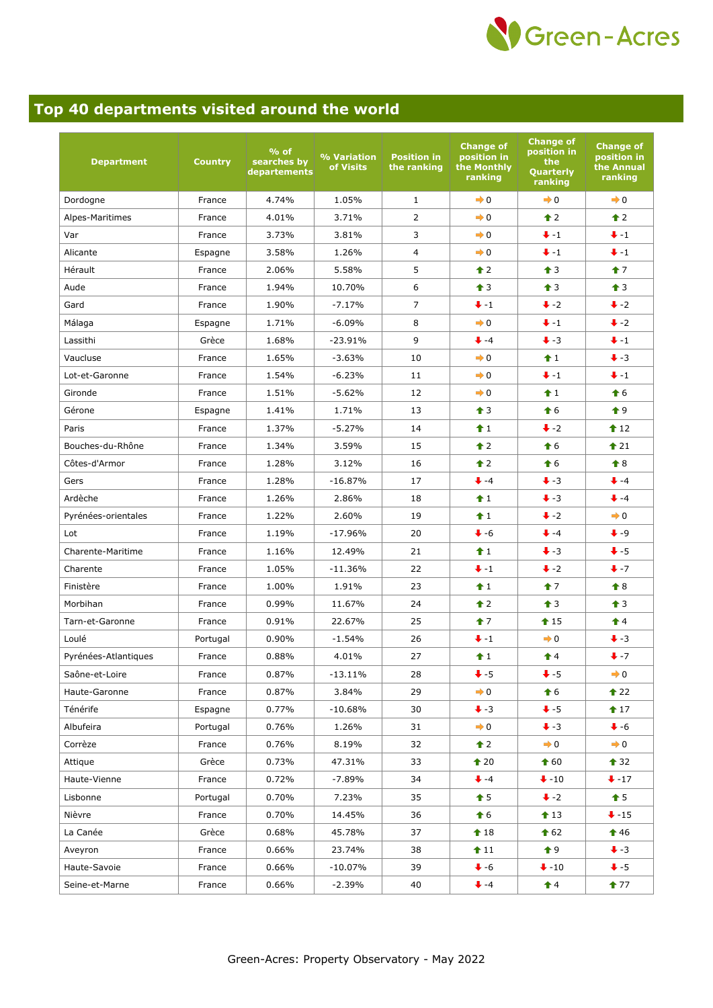

## **Top 40 departments visited around the world**

| <b>Department</b>    | <b>Country</b> | $%$ of<br>searches by<br>departements | % Variation<br>of Visits | <b>Position in</b><br>the ranking | <b>Change of</b><br>position in<br>the Monthly<br>ranking | <b>Change of</b><br>position in<br>the<br>Quarterly<br>ranking | <b>Change of</b><br>position in<br>the Annual<br>ranking |
|----------------------|----------------|---------------------------------------|--------------------------|-----------------------------------|-----------------------------------------------------------|----------------------------------------------------------------|----------------------------------------------------------|
| Dordogne             | France         | 4.74%                                 | 1.05%                    | $\mathbf{1}$                      | $\rightarrow 0$                                           | $\rightarrow 0$                                                | $\rightarrow 0$                                          |
| Alpes-Maritimes      | France         | 4.01%                                 | 3.71%                    | $\overline{2}$                    | $\rightarrow 0$                                           | $\triangle$ 2                                                  | $\triangle$ 2                                            |
| Var                  | France         | 3.73%                                 | 3.81%                    | 3                                 | $\rightarrow 0$                                           | $+ -1$                                                         | $+ -1$                                                   |
| Alicante             | Espagne        | 3.58%                                 | 1.26%                    | $\overline{4}$                    | $\rightarrow 0$                                           | $\ddot{+}$ -1                                                  | $+ -1$                                                   |
| Hérault              | France         | 2.06%                                 | 5.58%                    | 5                                 | $\hat{\mathbf{r}}$ 2                                      | $\bullet$ 3                                                    | $\bullet$ 7                                              |
| Aude                 | France         | 1.94%                                 | 10.70%                   | 6                                 | $\hat{\mathbf{T}}$ 3                                      | $\hat{\mathbf{r}}$ 3                                           | $\triangleq$ 3                                           |
| Gard                 | France         | 1.90%                                 | $-7.17%$                 | $\overline{7}$                    | $+ -1$                                                    | $\ddot{\bullet}$ -2                                            | $\ddot{\bullet}$ -2                                      |
| Málaga               | Espagne        | 1.71%                                 | $-6.09%$                 | 8                                 | $\rightarrow 0$                                           | $+ -1$                                                         | $\ddot{\bullet}$ -2                                      |
| Lassithi             | Grèce          | 1.68%                                 | $-23.91%$                | 9                                 | $+ -4$                                                    | $\ddot{\bullet}$ -3                                            | $+ -1$                                                   |
| Vaucluse             | France         | 1.65%                                 | $-3.63%$                 | 10                                | $\rightarrow 0$                                           | $\hat{1}$                                                      | $\ddot{\bullet}$ -3                                      |
| Lot-et-Garonne       | France         | 1.54%                                 | $-6.23%$                 | 11                                | $\rightarrow 0$                                           | $+ -1$                                                         | $+ -1$                                                   |
| Gironde              | France         | 1.51%                                 | $-5.62%$                 | 12                                | $\rightarrow 0$                                           | f1                                                             | $\bullet$ 6                                              |
| Gérone               | Espagne        | 1.41%                                 | 1.71%                    | 13                                | $\triangleq$ 3                                            | $\bigstar$ 6                                                   | $\bullet$ 9                                              |
| Paris                | France         | 1.37%                                 | $-5.27%$                 | 14                                | $f$ 1                                                     | $\ddot{\bullet}$ -2                                            | $\triangle$ 12                                           |
| Bouches-du-Rhône     | France         | 1.34%                                 | 3.59%                    | 15                                | $\hat{\mathbf{r}}$ 2                                      | $\bullet$ 6                                                    | $\triangle$ 21                                           |
| Côtes-d'Armor        | France         | 1.28%                                 | 3.12%                    | 16                                | $\hat{\mathbf{r}}$ 2                                      | $\hat{\mathbf{f}}$ 6                                           | $\bigstar$ 8                                             |
| Gers                 | France         | 1.28%                                 | $-16.87%$                | 17                                | $+ -4$                                                    | $\ddot{\bullet}$ -3                                            | $+ -4$                                                   |
| Ardèche              | France         | 1.26%                                 | 2.86%                    | 18                                | $\hat{1}$                                                 | $\ddot{\bullet}$ -3                                            | $+ -4$                                                   |
| Pyrénées-orientales  | France         | 1.22%                                 | 2.60%                    | 19                                | f1                                                        | $\ddot{\bullet}$ -2                                            | $\rightarrow 0$                                          |
| Lot                  | France         | 1.19%                                 | $-17.96%$                | 20                                | $\bigvee -6$                                              | $+ -4$                                                         | $+ -9$                                                   |
| Charente-Maritime    | France         | 1.16%                                 | 12.49%                   | 21                                | $\hat{1}$                                                 | $\ddot{\bullet}$ -3                                            | $+5$                                                     |
| Charente             | France         | 1.05%                                 | $-11.36%$                | 22                                | $+ -1$                                                    | $\ddot{\bullet}$ -2                                            | $+ -7$                                                   |
| Finistère            | France         | 1.00%                                 | 1.91%                    | 23                                | $\hat{1}$                                                 | $\uparrow$ 7                                                   | $\bigstar$ 8                                             |
| Morbihan             | France         | 0.99%                                 | 11.67%                   | 24                                | $\hat{\mathbf{r}}$ 2                                      | $\hat{\mathbf{T}}$ 3                                           | $\hat{\mathbf{T}}$ 3                                     |
| Tarn-et-Garonne      | France         | 0.91%                                 | 22.67%                   | 25                                | $17$                                                      | $15$                                                           | $\triangleq$                                             |
| Loulé                | Portugal       | 0.90%                                 | $-1.54%$                 | 26                                | $+ -1$                                                    | $\rightarrow 0$                                                | $\ddot{\bullet}$ -3                                      |
| Pyrénées-Atlantiques | France         | 0.88%                                 | 4.01%                    | 27                                | $f$ 1                                                     | $\triangle$ 4                                                  | $+ -7$                                                   |
| Saône-et-Loire       | France         | 0.87%                                 | $-13.11%$                | 28                                | $\ddot{\bullet}$ -5                                       | $+5$                                                           | $\rightarrow 0$                                          |
| Haute-Garonne        | France         | 0.87%                                 | 3.84%                    | 29                                | $\rightarrow 0$                                           | $\textbf{\textcolor{red}{\bullet}} 6$                          | $\triangle$ 22                                           |
| Ténérife             | Espagne        | 0.77%                                 | $-10.68\%$               | 30                                | $\bigvee -3$                                              | $\ddot{\bullet}$ -5                                            | 17                                                       |
| Albufeira            | Portugal       | 0.76%                                 | 1.26%                    | 31                                | $\rightarrow 0$                                           | $\ddot{\bullet}$ -3                                            | $\bullet$ -6                                             |
| Corrèze              | France         | 0.76%                                 | 8.19%                    | 32                                | $\triangle$ 2                                             | $\rightarrow 0$                                                | $\rightarrow 0$                                          |
| Attique              | Grèce          | 0.73%                                 | 47.31%                   | 33                                | $\triangle$ 20                                            | $\textcolor{blue}{\bigstar}60$                                 | $\bullet$ 32                                             |
| Haute-Vienne         | France         | 0.72%                                 | -7.89%                   | 34                                | $+ -4$                                                    | $\ddot{\bullet}$ -10                                           | $+17$                                                    |
| Lisbonne             | Portugal       | 0.70%                                 | 7.23%                    | 35                                | $\hat{\mathbf{t}}$ 5                                      | $\ddot{\bullet}$ -2                                            | $\bullet$ 5                                              |
| Nièvre               | France         | 0.70%                                 | 14.45%                   | 36                                | $\textbf{\textcolor{red}{\bullet}} 6$                     | $\textbf{\textcolor{red}{\bullet}} 13$                         | $\ddot{\bullet}$ -15                                     |
| La Canée             | Grèce          | 0.68%                                 | 45.78%                   | 37                                | $\textcolor{blue}{\blacklozenge}$ 18                      | $\textcolor{blue}{\bigstar}$ 62                                | $\textcolor{blue}{\bullet}$ 46                           |
| Aveyron              | France         | 0.66%                                 | 23.74%                   | 38                                | $f$ 11                                                    | $\bullet$ 9                                                    | $\ddot{\bullet}$ -3                                      |
| Haute-Savoie         | France         | 0.66%                                 | $-10.07%$                | 39                                | $\bigvee -6$                                              | $\ddot{\bullet}$ -10                                           | $\bullet$ -5                                             |
| Seine-et-Marne       | France         | 0.66%                                 | $-2.39%$                 | 40                                | $+ -4$                                                    | $\hat{\mathbf{r}}$ 4                                           | $\bullet$ 77                                             |